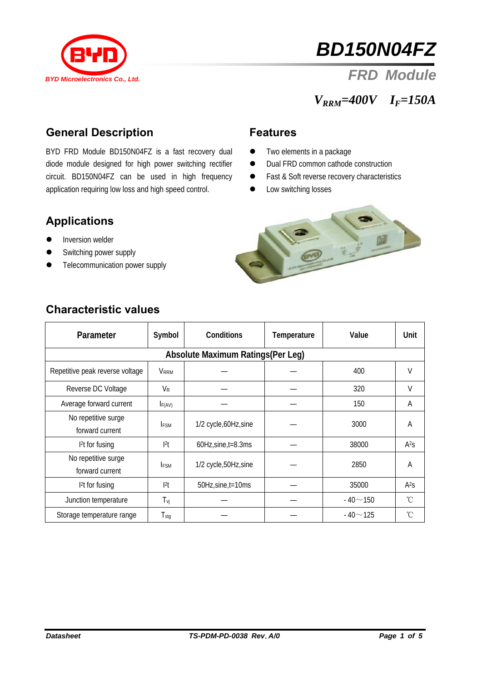

# *BD150N04FZ*

# *FRD Module*

# *VRRM=400V IF=150A*

#### **General Description**

BYD FRD Module BD150N04FZ is a fast recovery dual diode module designed for high power switching rectifier circuit. BD150N04FZ can be used in high frequency application requiring low loss and high speed control.

#### **Features**

- $\bullet$  Two elements in a package
- Dual FRD common cathode construction
- Fast & Soft reverse recovery characteristics
- Low switching losses

#### **Applications**

- **•** Inversion welder
- Switching power supply
- Telecommunication power supply



| Parameter                              | Symbol                | <b>Conditions</b>          | Temperature | Value          | Unit             |  |  |  |
|----------------------------------------|-----------------------|----------------------------|-------------|----------------|------------------|--|--|--|
| Absolute Maximum Ratings (Per Leg)     |                       |                            |             |                |                  |  |  |  |
| Repetitive peak reverse voltage        | <b>VRRM</b>           |                            |             | 400            | V                |  |  |  |
| Reverse DC Voltage                     | <b>V</b> <sub>R</sub> |                            |             | 320            | $\vee$           |  |  |  |
| Average forward current                | F(AV)                 |                            |             | 150            | A                |  |  |  |
| No repetitive surge<br>forward current | <b>IFSM</b>           | 1/2 cycle, 60Hz, sine      |             | 3000           | A                |  |  |  |
| $12$ t for fusing                      | 2                     | $60Hz$ , sine, $t = 8.3ms$ |             | 38000          | A <sup>2</sup> S |  |  |  |
| No repetitive surge<br>forward current | <b>IFSM</b>           | 1/2 cycle,50Hz,sine        |             | 2850           | A                |  |  |  |
| 1 <sup>2</sup> t for fusing            | 2                     | 50Hz, sine, t=10ms         |             | 35000          | A <sup>2</sup> S |  |  |  |
| Junction temperature                   | $T_{\nu j}$           |                            |             | $-40 - 150$    | $^{\circ}$ C     |  |  |  |
| Storage temperature range              | $T_{\text{stg}}$      |                            |             | $-40 \sim 125$ | °C               |  |  |  |

#### **Characteristic values**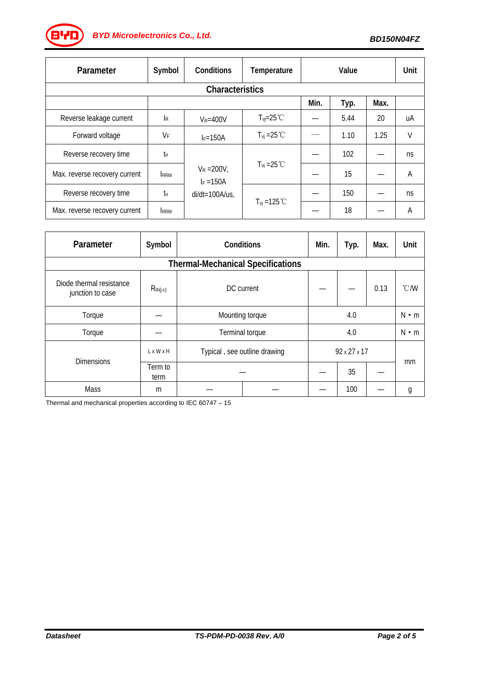*BD150N04FZ BYD Microelectronics Co., Ltd.*

| Parameter                     | Symbol                    | Conditions                                         | Temperature                   | Value |      |      | Unit   |  |  |
|-------------------------------|---------------------------|----------------------------------------------------|-------------------------------|-------|------|------|--------|--|--|
| <b>Characteristics</b>        |                           |                                                    |                               |       |      |      |        |  |  |
|                               |                           |                                                    |                               | Min.  | Typ. | Max. |        |  |  |
| Reverse leakage current       | $\mathsf{I}_{\mathsf{R}}$ | $V_R = 400V$                                       | $T_{\text{vi}} = 25^{\circ}C$ |       | 5.44 | 20   | uA     |  |  |
| Forward voltage               | $V_F$                     | $I_F = 150A$                                       | $T_{vi} = 25 °C$              |       | 1.10 | 1.25 | $\vee$ |  |  |
| Reverse recovery time         | $t_{rr}$                  | $V_R = 200V,$<br>$I_F = 150A$<br>$di/dt = 100A/us$ | $T_{vi} = 25^{\circ}$ C       |       | 102  |      | ns     |  |  |
| Max. reverse recovery current | <b>RRM</b>                |                                                    |                               |       | 15   |      | A      |  |  |
| Reverse recovery time         | $t_{\rm fr}$              |                                                    | $T_{vi} = 125 °C$             |       | 150  |      | ns     |  |  |
| Max. reverse recovery current | <b>RRM</b>                |                                                    |                               |       | 18   |      | A      |  |  |

| Parameter                                    | Symbol          | Conditions                   | Min. | Typ.                     | Max. | Unit          |    |  |  |
|----------------------------------------------|-----------------|------------------------------|------|--------------------------|------|---------------|----|--|--|
| <b>Thermal-Mechanical Specifications</b>     |                 |                              |      |                          |      |               |    |  |  |
| Diode thermal resistance<br>junction to case | $R_{th(j-c)}$   | DC current                   |      |                          | 0.13 | $\degree$ C/W |    |  |  |
| Torque                                       |                 | Mounting torque              | 4.0  |                          |      | $N \cdot m$   |    |  |  |
| Torque                                       |                 | Terminal torque              | 4.0  |                          |      | $N \cdot m$   |    |  |  |
| <b>Dimensions</b>                            | LxWxH           | Typical, see outline drawing |      | $92 \times 27 \times 17$ |      |               | mm |  |  |
|                                              | Term to<br>term |                              |      |                          | 35   |               |    |  |  |
| Mass                                         | m               |                              |      |                          | 100  |               | g  |  |  |

Thermal and mechanical properties according to IEC 60747 – 15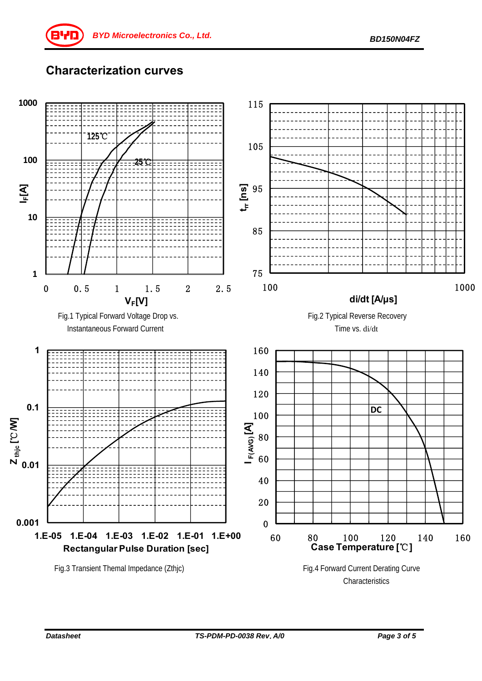## **Characterization curves**

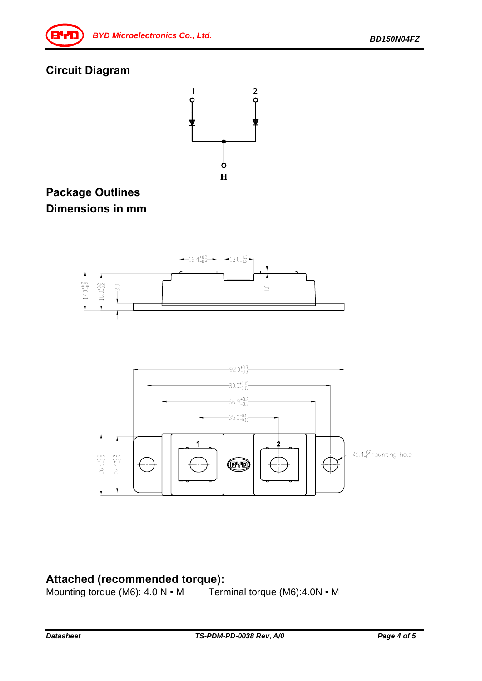# **Circuit Diagram**



### **Package Outlines Dimensions in mm**





**Attached (recommended torque):**<br>Mounting torque (M6): 4.0 N • M Terminal torque (M6):4.0N • M Mounting torque (M6):  $4.0 \text{ N} \cdot \text{M}$